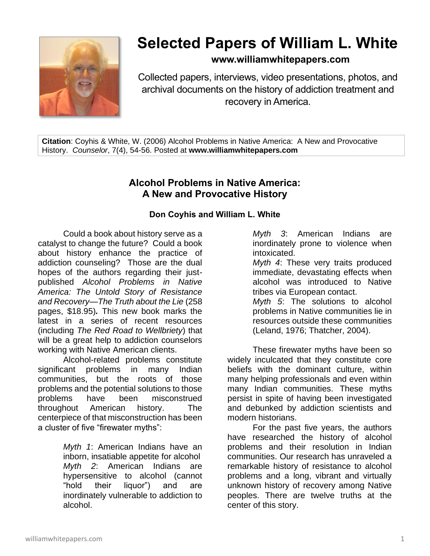

## **Selected Papers of William L. White**

**www.williamwhitepapers.com**

Collected papers, interviews, video presentations, photos, and archival documents on the history of addiction treatment and recovery in America.

**Citation**: Coyhis & White, W. (2006) Alcohol Problems in Native America: A New and Provocative History. *Counselor*, 7(4), 54-56. Posted at **www.williamwhitepapers.com**

## **Alcohol Problems in Native America: A New and Provocative History**

## **Don Coyhis and William L. White**

Could a book about history serve as a catalyst to change the future? Could a book about history enhance the practice of addiction counseling? Those are the dual hopes of the authors regarding their justpublished *Alcohol Problems in Native America: The Untold Story of Resistance and Recovery—The Truth about the Lie* (258 pages, \$18.95)*.* This new book marks the latest in a series of recent resources (including *The Red Road to Wellbriety*) that will be a great help to addiction counselors working with Native American clients.

Alcohol-related problems constitute significant problems in many Indian communities, but the roots of those problems and the potential solutions to those problems have been misconstrued throughout American history. The centerpiece of that misconstruction has been a cluster of five "firewater myths":

> *Myth 1*: American Indians have an inborn, insatiable appetite for alcohol *Myth 2*: American Indians are hypersensitive to alcohol (cannot "hold their liquor") and are inordinately vulnerable to addiction to alcohol.

*Myth 3*: American Indians are inordinately prone to violence when intoxicated.

*Myth 4*: These very traits produced immediate, devastating effects when alcohol was introduced to Native tribes via European contact.

*Myth 5*: The solutions to alcohol problems in Native communities lie in resources outside these communities (Leland, 1976; Thatcher, 2004).

These firewater myths have been so widely inculcated that they constitute core beliefs with the dominant culture, within many helping professionals and even within many Indian communities. These myths persist in spite of having been investigated and debunked by addiction scientists and modern historians.

For the past five years, the authors have researched the history of alcohol problems and their resolution in Indian communities. Our research has unraveled a remarkable history of resistance to alcohol problems and a long, vibrant and virtually unknown history of recovery among Native peoples. There are twelve truths at the center of this story.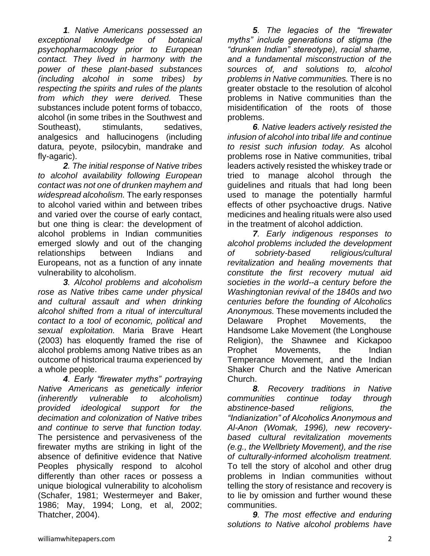*1. Native Americans possessed an exceptional knowledge of botanical psychopharmacology prior to European contact. They lived in harmony with the power of these plant-based substances (including alcohol in some tribes) by respecting the spirits and rules of the plants from which they were derived.* These substances include potent forms of tobacco, alcohol (in some tribes in the Southwest and Southeast), stimulants, sedatives, analgesics and hallucinogens (including datura, peyote, psilocybin, mandrake and fly-agaric).

*2. The initial response of Native tribes to alcohol availability following European contact was not one of drunken mayhem and widespread alcoholism.* The early responses to alcohol varied within and between tribes and varied over the course of early contact, but one thing is clear: the development of alcohol problems in Indian communities emerged slowly and out of the changing relationships between Indians and Europeans, not as a function of any innate vulnerability to alcoholism.

*3. Alcohol problems and alcoholism rose as Native tribes came under physical and cultural assault and when drinking alcohol shifted from a ritual of intercultural contact to a tool of economic, political and sexual exploitation.* Maria Brave Heart (2003) has eloquently framed the rise of alcohol problems among Native tribes as an outcome of historical trauma experienced by a whole people.

*4. Early "firewater myths" portraying Native Americans as genetically inferior (inherently vulnerable to alcoholism) provided ideological support for the decimation and colonization of Native tribes and continue to serve that function today.*  The persistence and pervasiveness of the firewater myths are striking in light of the absence of definitive evidence that Native Peoples physically respond to alcohol differently than other races or possess a unique biological vulnerability to alcoholism (Schafer, 1981; Westermeyer and Baker, 1986; May, 1994; Long, et al, 2002; Thatcher, 2004).

*5. The legacies of the "firewater myths" include generations of stigma (the "drunken Indian" stereotype), racial shame, and a fundamental misconstruction of the sources of, and solutions to, alcohol problems in Native communities.* There is no greater obstacle to the resolution of alcohol problems in Native communities than the misidentification of the roots of those problems.

*6. Native leaders actively resisted the infusion of alcohol into tribal life and continue to resist such infusion today.* As alcohol problems rose in Native communities, tribal leaders actively resisted the whiskey trade or tried to manage alcohol through the guidelines and rituals that had long been used to manage the potentially harmful effects of other psychoactive drugs. Native medicines and healing rituals were also used in the treatment of alcohol addiction.

*7. Early indigenous responses to alcohol problems included the development of sobriety-based religious/cultural revitalization and healing movements that constitute the first recovery mutual aid societies in the world--a century before the Washingtonian revival of the 1840s and two centuries before the founding of Alcoholics Anonymous.* These movements included the Delaware Prophet Movements, the Handsome Lake Movement (the Longhouse Religion), the Shawnee and Kickapoo Prophet Movements, the Indian Temperance Movement, and the Indian Shaker Church and the Native American Church.

*8. Recovery traditions in Native communities continue today through abstinence-based religions, the "Indianization" of Alcoholics Anonymous and Al-Anon (Womak, 1996), new recoverybased cultural revitalization movements (e.g., the Wellbriety Movement), and the rise of culturally-informed alcoholism treatment.*  To tell the story of alcohol and other drug problems in Indian communities without telling the story of resistance and recovery is to lie by omission and further wound these communities.

*9. The most effective and enduring solutions to Native alcohol problems have*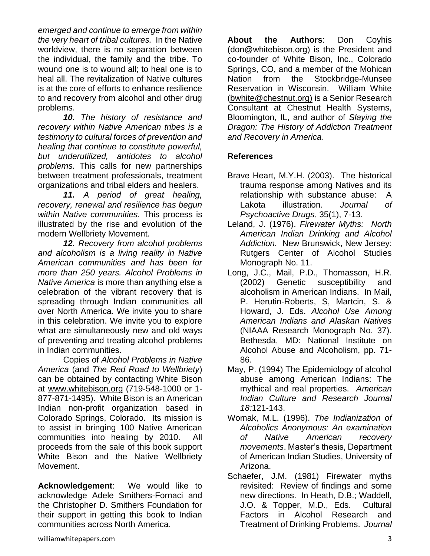*emerged and continue to emerge from within the very heart of tribal cultures.* In the Native worldview, there is no separation between the individual, the family and the tribe. To wound one is to wound all; to heal one is to heal all. The revitalization of Native cultures is at the core of efforts to enhance resilience to and recovery from alcohol and other drug problems.

*10. The history of resistance and recovery within Native American tribes is a testimony to cultural forces of prevention and healing that continue to constitute powerful, but underutilized, antidotes to alcohol problems.* This calls for new partnerships between treatment professionals, treatment organizations and tribal elders and healers.

*11. A period of great healing, recovery, renewal and resilience has begun within Native communities.* This process is illustrated by the rise and evolution of the modern Wellbriety Movement.

*12. Recovery from alcohol problems and alcoholism is a living reality in Native American communities and has been for more than 250 years. Alcohol Problems in Native America* is more than anything else a celebration of the vibrant recovery that is spreading through Indian communities all over North America. We invite you to share in this celebration. We invite you to explore what are simultaneously new and old ways of preventing and treating alcohol problems in Indian communities.

Copies of *Alcohol Problems in Native America* (and *The Red Road to Wellbriety*) can be obtained by contacting White Bison at [www.whitebison.org](http://www.whitebison.org/) (719-548-1000 or 1- 877-871-1495). White Bison is an American Indian non-profit organization based in Colorado Springs, Colorado. Its mission is to assist in bringing 100 Native American communities into healing by 2010. All proceeds from the sale of this book support White Bison and the Native Wellbriety Movement.

**Acknowledgement**: We would like to acknowledge Adele Smithers-Fornaci and the Christopher D. Smithers Foundation for their support in getting this book to Indian communities across North America.

**About the Authors**: Don Coyhis (don@whitebison,org) is the President and co-founder of White Bison, Inc., Colorado Springs, CO, and a member of the Mohican Nation from the Stockbridge-Munsee Reservation in Wisconsin. William White (bwhite@chestnut.org) is a Senior Research Consultant at Chestnut Health Systems, Bloomington, IL, and author of *Slaying the Dragon: The History of Addiction Treatment and Recovery in America*.

## **References**

- Brave Heart, M.Y.H. (2003).The historical trauma response among Natives and its relationship with substance abuse: A Lakota illustration. *Journal of Psychoactive Drugs*, 35(1), 7-13.
- Leland, J. (1976). *Firewater Myths: North American Indian Drinking and Alcohol Addiction.* New Brunswick, New Jersey: Rutgers Center of Alcohol Studies Monograph No. 11.
- Long, J.C., Mail, P.D., Thomasson, H.R. (2002) Genetic susceptibility and alcoholism in American Indians. In Mail, P. Herutin-Roberts, S, Martcin, S. & Howard, J. Eds. *Alcohol Use Among American Indians and Alaskan Natives* (NIAAA Research Monograph No. 37). Bethesda, MD: National Institute on Alcohol Abuse and Alcoholism, pp. 71- 86.
- May, P. (1994) The Epidemiology of alcohol abuse among American Indians: The mythical and real properties. *American Indian Culture and Research Journal 18:*121-143.
- Womak, M.L. (1996). *The Indianization of Alcoholics Anonymous: An examination of Native American recovery movements*. Master's thesis, Department of American Indian Studies, University of Arizona.
- Schaefer, J.M. (1981) Firewater myths revisited: Review of findings and some new directions. In Heath, D.B.; Waddell, J.O. & Topper, M.D., Eds. Cultural Factors in Alcohol Research and Treatment of Drinking Problems. *Journal*